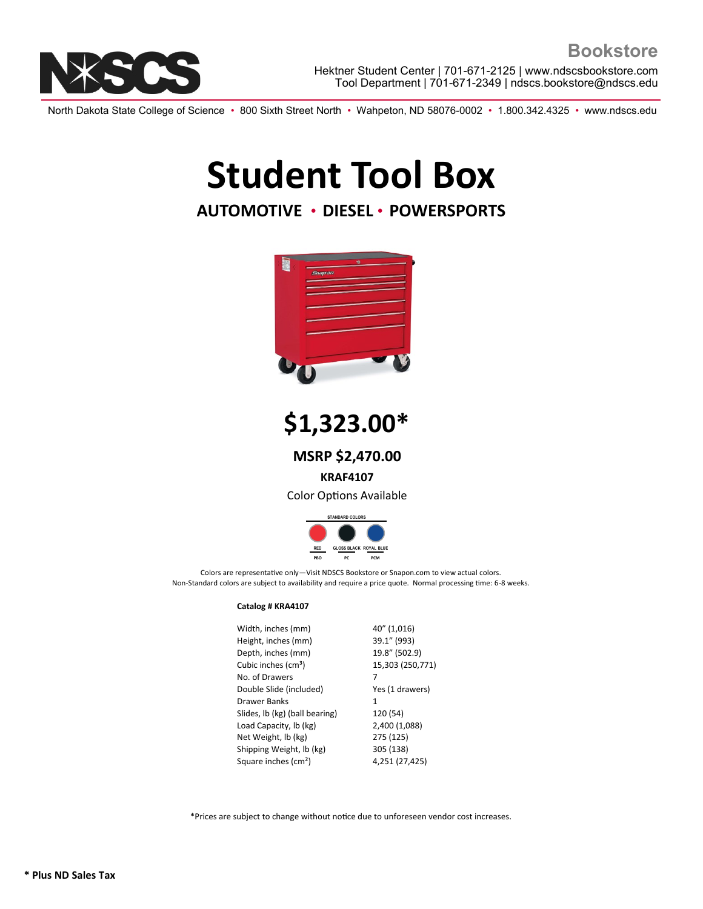

North Dakota State College of Science • 800 Sixth Street North • Wahpeton, ND 58076-0002 • 1.800.342.4325 • www.ndscs.edu

## **Student Tool Box**

### **AUTOMOTIVE** • **DIESEL** • **POWERSPORTS**



**\$1,323.00\***

**MSRP \$2,470.00**

**KRAF4107**

Color Options Available



Colors are representative only—Visit NDSCS Bookstore or Snapon.com to view actual colors. Non-Standard colors are subject to availability and require a price quote. Normal processing time: 6-8 weeks.

#### **Catalog # KRA4107**

| Width, inches (mm)               | 40" (1,016)      |
|----------------------------------|------------------|
| Height, inches (mm)              | 39.1" (993)      |
| Depth, inches (mm)               | 19.8" (502.9)    |
| Cubic inches (cm <sup>3</sup> )  | 15,303 (250,771) |
| No. of Drawers                   | 7                |
| Double Slide (included)          | Yes (1 drawers)  |
| Drawer Banks                     | 1                |
|                                  |                  |
| Slides, lb (kg) (ball bearing)   | 120 (54)         |
| Load Capacity, lb (kg)           | 2,400 (1,088)    |
| Net Weight, lb (kg)              | 275 (125)        |
| Shipping Weight, lb (kg)         | 305 (138)        |
| Square inches (cm <sup>2</sup> ) | 4,251 (27,425)   |

\*Prices are subject to change without notice due to unforeseen vendor cost increases.